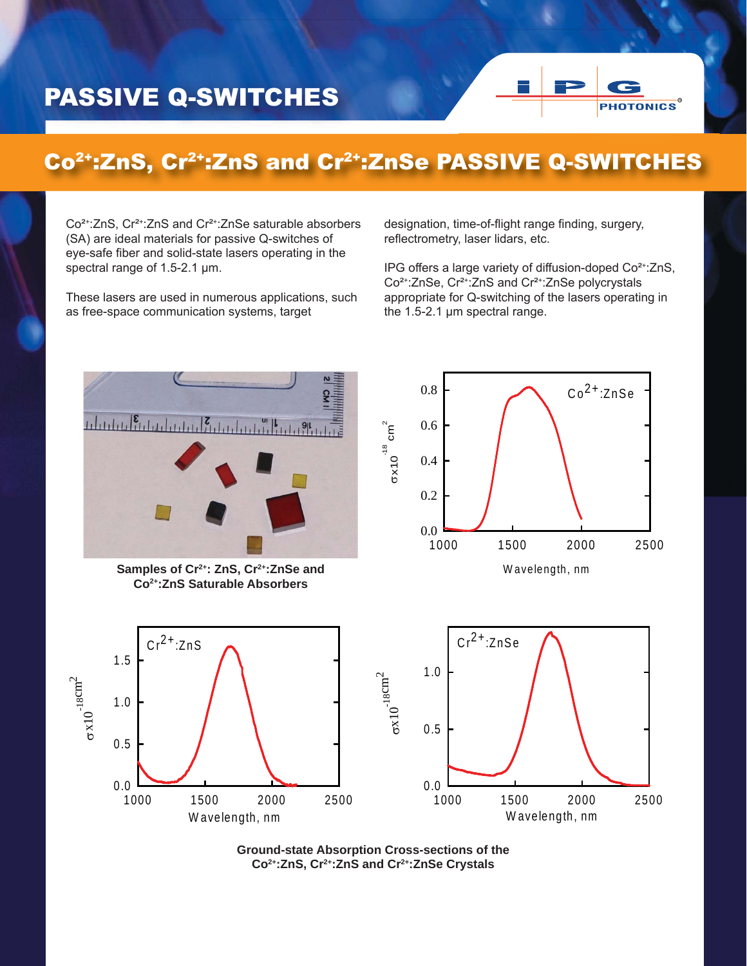## PASSIVE Q-SWITCHES



## Co2+:ZnS, Cr2+:ZnS and Cr2+:ZnSe PASSIVE Q-SWITCHES

Co²+:ZnS, Cr²+:ZnS and Cr²+:ZnSe saturable absorbers (SA) are ideal materials for passive Q-switches of eye-safe fiber and solid-state lasers operating in the spectral range of 1.5-2.1 μm.

These lasers are used in numerous applications, such as free-space communication systems, target

designation, time-of-flight range finding, surgery, reflectrometry, laser lidars, etc.

IPG offers a large variety of diffusion-doped Co²+:ZnS, Co²+:ZnSe, Cr²+:ZnS and Cr²+:ZnSe polycrystals appropriate for Q-switching of the lasers operating in the 1.5-2.1 μm spectral range.



Samples of Cr<sup>2+</sup>: ZnS, Cr<sup>2+</sup>: ZnSe and **Co2+:ZnS Saturable Absorbers**

W avelength, nm 1000 1500 2000 2500

 $Cr^{2+}$ .  $7nS$ 

x10

0.0

0.5

1.0

1.5

 $\sim18$ cm $^2$